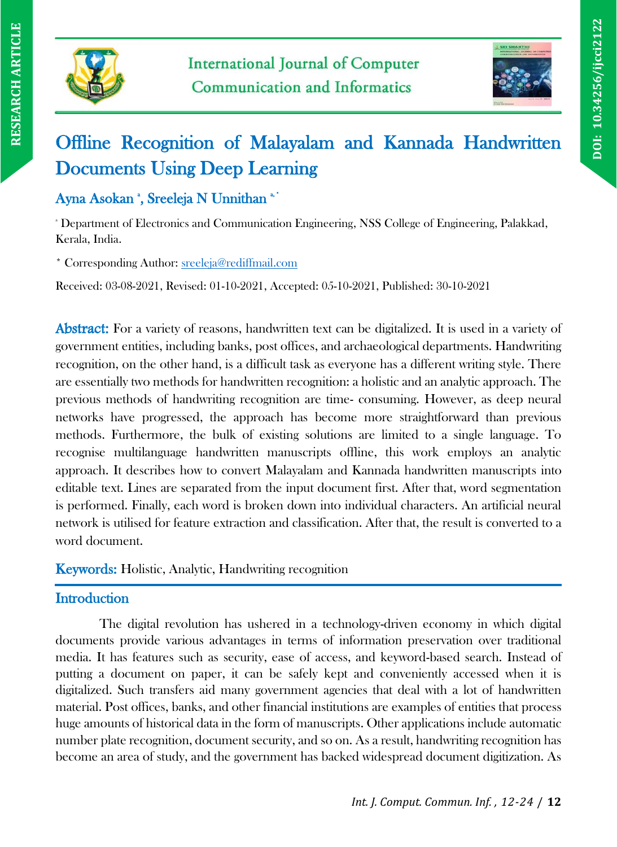



# Offline Recognition of Malayalam and Kannada Handwritten Documents Using Deep Learning

# Ayna Asokan ', Sreeleja N Unnithan '

<sup>a</sup> Department of Electronics and Communication Engineering, NSS College of Engineering, Palakkad, Kerala, India.

\* Corresponding Author: [sreeleja@rediffmail.com](mailto:sreeleja@rediffmail.com)

Received: 03-08-2021, Revised: 01-10-2021, Accepted: 05-10-2021, Published: 30-10-2021

Abstract: For a variety of reasons, handwritten text can be digitalized. It is used in a variety of government entities, including banks, post offices, and archaeological departments. Handwriting recognition, on the other hand, is a difficult task as everyone has a different writing style. There are essentially two methods for handwritten recognition: a holistic and an analytic approach. The previous methods of handwriting recognition are time- consuming. However, as deep neural networks have progressed, the approach has become more straightforward than previous methods. Furthermore, the bulk of existing solutions are limited to a single language. To recognise multilanguage handwritten manuscripts offline, this work employs an analytic approach. It describes how to convert Malayalam and Kannada handwritten manuscripts into editable text. Lines are separated from the input document first. After that, word segmentation is performed. Finally, each word is broken down into individual characters. An artificial neural network is utilised for feature extraction and classification. After that, the result is converted to a word document.

## Keywords: Holistic, Analytic, Handwriting recognition

## **Introduction**

The digital revolution has ushered in a technology-driven economy in which digital documents provide various advantages in terms of information preservation over traditional media. It has features such as security, ease of access, and keyword-based search. Instead of putting a document on paper, it can be safely kept and conveniently accessed when it is digitalized. Such transfers aid many government agencies that deal with a lot of handwritten material. Post offices, banks, and other financial institutions are examples of entities that process huge amounts of historical data in the form of manuscripts. Other applications include automatic number plate recognition, document security, and so on. As a result, handwriting recognition has become an area of study, and the government has backed widespread document digitization. As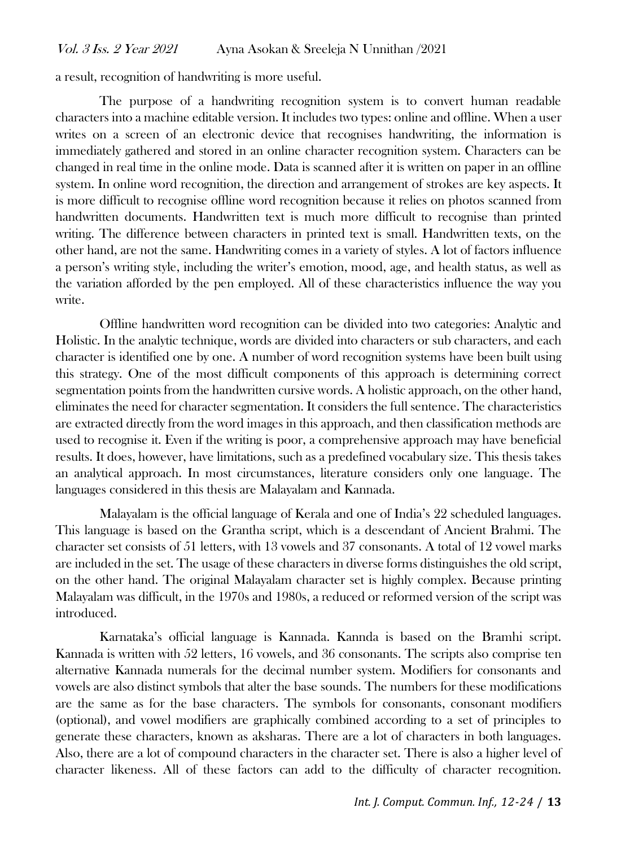#### Vol. 3 Iss. 2 Year 2021 Ayna Asokan & Sreeleja N Unnithan /2021

a result, recognition of handwriting is more useful.

The purpose of a handwriting recognition system is to convert human readable characters into a machine editable version. It includes two types: online and offline. When a user writes on a screen of an electronic device that recognises handwriting, the information is immediately gathered and stored in an online character recognition system. Characters can be changed in real time in the online mode. Data is scanned after it is written on paper in an offline system. In online word recognition, the direction and arrangement of strokes are key aspects. It is more difficult to recognise offline word recognition because it relies on photos scanned from handwritten documents. Handwritten text is much more difficult to recognise than printed writing. The difference between characters in printed text is small. Handwritten texts, on the other hand, are not the same. Handwriting comes in a variety of styles. A lot of factors influence a person's writing style, including the writer's emotion, mood, age, and health status, as well as the variation afforded by the pen employed. All of these characteristics influence the way you write.

Offline handwritten word recognition can be divided into two categories: Analytic and Holistic. In the analytic technique, words are divided into characters or sub characters, and each character is identified one by one. A number of word recognition systems have been built using this strategy. One of the most difficult components of this approach is determining correct segmentation points from the handwritten cursive words. A holistic approach, on the other hand, eliminates the need for character segmentation. It considers the full sentence. The characteristics are extracted directly from the word images in this approach, and then classification methods are used to recognise it. Even if the writing is poor, a comprehensive approach may have beneficial results. It does, however, have limitations, such as a predefined vocabulary size. This thesis takes an analytical approach. In most circumstances, literature considers only one language. The languages considered in this thesis are Malayalam and Kannada.

Malayalam is the official language of Kerala and one of India's 22 scheduled languages. This language is based on the Grantha script, which is a descendant of Ancient Brahmi. The character set consists of 51 letters, with 13 vowels and 37 consonants. A total of 12 vowel marks are included in the set. The usage of these characters in diverse forms distinguishes the old script, on the other hand. The original Malayalam character set is highly complex. Because printing Malayalam was difficult, in the 1970s and 1980s, a reduced or reformed version of the script was introduced.

Karnataka's official language is Kannada. Kannda is based on the Bramhi script. Kannada is written with 52 letters, 16 vowels, and 36 consonants. The scripts also comprise ten alternative Kannada numerals for the decimal number system. Modifiers for consonants and vowels are also distinct symbols that alter the base sounds. The numbers for these modifications are the same as for the base characters. The symbols for consonants, consonant modifiers (optional), and vowel modifiers are graphically combined according to a set of principles to generate these characters, known as aksharas. There are a lot of characters in both languages. Also, there are a lot of compound characters in the character set. There is also a higher level of character likeness. All of these factors can add to the difficulty of character recognition.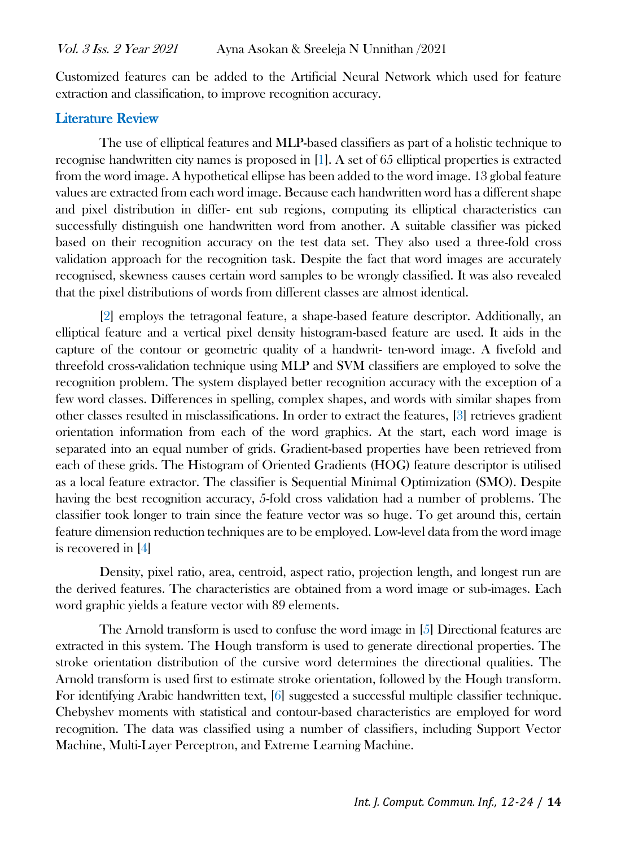Customized features can be added to the Artificial Neural Network which used for feature extraction and classification, to improve recognition accuracy.

## Literature Review

The use of elliptical features and MLP-based classifiers as part of a holistic technique to recognise handwritten city names is proposed in [1]. A set of 65 elliptical properties is extracted from the word image. A hypothetical ellipse has been added to the word image. 13 global feature values are extracted from each word image. Because each handwritten word has a different shape and pixel distribution in differ- ent sub regions, computing its elliptical characteristics can successfully distinguish one handwritten word from another. A suitable classifier was picked based on their recognition accuracy on the test data set. They also used a three-fold cross validation approach for the recognition task. Despite the fact that word images are accurately recognised, skewness causes certain word samples to be wrongly classified. It was also revealed that the pixel distributions of words from different classes are almost identical.

[2] employs the tetragonal feature, a shape-based feature descriptor. Additionally, an elliptical feature and a vertical pixel density histogram-based feature are used. It aids in the capture of the contour or geometric quality of a handwrit- ten-word image. A fivefold and threefold cross-validation technique using MLP and SVM classifiers are employed to solve the recognition problem. The system displayed better recognition accuracy with the exception of a few word classes. Differences in spelling, complex shapes, and words with similar shapes from other classes resulted in misclassifications. In order to extract the features, [3] retrieves gradient orientation information from each of the word graphics. At the start, each word image is separated into an equal number of grids. Gradient-based properties have been retrieved from each of these grids. The Histogram of Oriented Gradients (HOG) feature descriptor is utilised as a local feature extractor. The classifier is Sequential Minimal Optimization (SMO). Despite having the best recognition accuracy, 5-fold cross validation had a number of problems. The classifier took longer to train since the feature vector was so huge. To get around this, certain feature dimension reduction techniques are to be employed. Low-level data from the word image is recovered in [4]

Density, pixel ratio, area, centroid, aspect ratio, projection length, and longest run are the derived features. The characteristics are obtained from a word image or sub-images. Each word graphic yields a feature vector with 89 elements.

The Arnold transform is used to confuse the word image in [5] Directional features are extracted in this system. The Hough transform is used to generate directional properties. The stroke orientation distribution of the cursive word determines the directional qualities. The Arnold transform is used first to estimate stroke orientation, followed by the Hough transform. For identifying Arabic handwritten text, [6] suggested a successful multiple classifier technique. Chebyshev moments with statistical and contour-based characteristics are employed for word recognition. The data was classified using a number of classifiers, including Support Vector Machine, Multi-Layer Perceptron, and Extreme Learning Machine.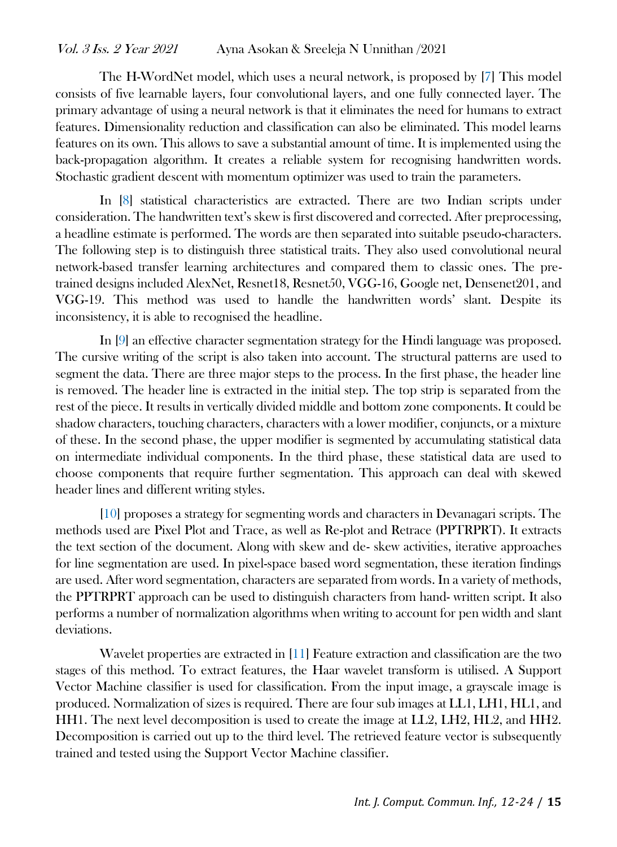The H-WordNet model, which uses a neural network, is proposed by [7] This model consists of five learnable layers, four convolutional layers, and one fully connected layer. The primary advantage of using a neural network is that it eliminates the need for humans to extract features. Dimensionality reduction and classification can also be eliminated. This model learns features on its own. This allows to save a substantial amount of time. It is implemented using the back-propagation algorithm. It creates a reliable system for recognising handwritten words. Stochastic gradient descent with momentum optimizer was used to train the parameters.

In [8] statistical characteristics are extracted. There are two Indian scripts under consideration. The handwritten text's skew is first discovered and corrected. After preprocessing, a headline estimate is performed. The words are then separated into suitable pseudo-characters. The following step is to distinguish three statistical traits. They also used convolutional neural network-based transfer learning architectures and compared them to classic ones. The pretrained designs included AlexNet, Resnet18, Resnet50, VGG-16, Google net, Densenet201, and VGG-19. This method was used to handle the handwritten words' slant. Despite its inconsistency, it is able to recognised the headline.

In [9] an effective character segmentation strategy for the Hindi language was proposed. The cursive writing of the script is also taken into account. The structural patterns are used to segment the data. There are three major steps to the process. In the first phase, the header line is removed. The header line is extracted in the initial step. The top strip is separated from the rest of the piece. It results in vertically divided middle and bottom zone components. It could be shadow characters, touching characters, characters with a lower modifier, conjuncts, or a mixture of these. In the second phase, the upper modifier is segmented by accumulating statistical data on intermediate individual components. In the third phase, these statistical data are used to choose components that require further segmentation. This approach can deal with skewed header lines and different writing styles.

[10] proposes a strategy for segmenting words and characters in Devanagari scripts. The methods used are Pixel Plot and Trace, as well as Re-plot and Retrace (PPTRPRT). It extracts the text section of the document. Along with skew and de- skew activities, iterative approaches for line segmentation are used. In pixel-space based word segmentation, these iteration findings are used. After word segmentation, characters are separated from words. In a variety of methods, the PPTRPRT approach can be used to distinguish characters from hand- written script. It also performs a number of normalization algorithms when writing to account for pen width and slant deviations.

Wavelet properties are extracted in [11] Feature extraction and classification are the two stages of this method. To extract features, the Haar wavelet transform is utilised. A Support Vector Machine classifier is used for classification. From the input image, a grayscale image is produced. Normalization of sizes is required. There are four sub images at LL1, LH1, HL1, and HH1. The next level decomposition is used to create the image at LL2, LH2, HL2, and HH2. Decomposition is carried out up to the third level. The retrieved feature vector is subsequently trained and tested using the Support Vector Machine classifier.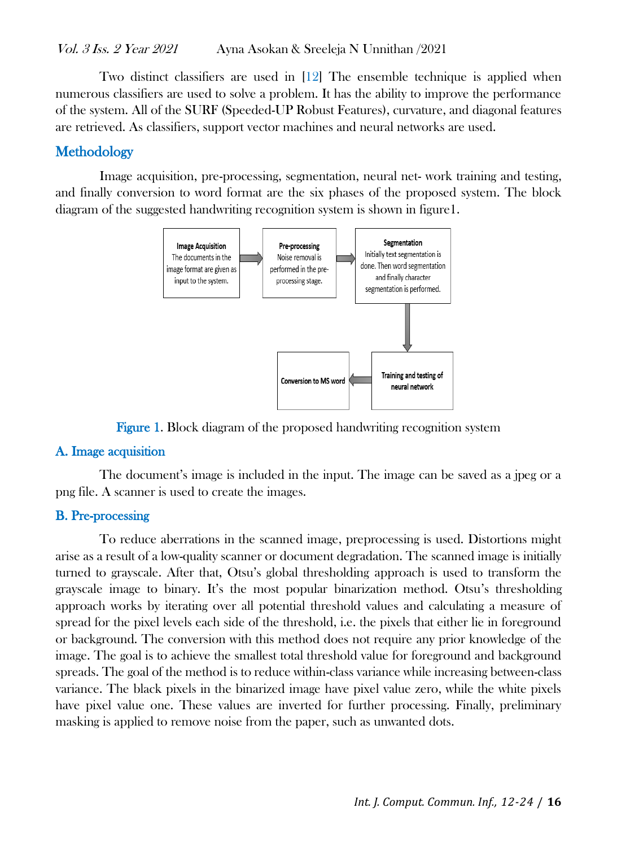Two distinct classifiers are used in [12] The ensemble technique is applied when numerous classifiers are used to solve a problem. It has the ability to improve the performance of the system. All of the SURF (Speeded-UP Robust Features), curvature, and diagonal features are retrieved. As classifiers, support vector machines and neural networks are used.

## **Methodology**

Image acquisition, pre-processing, segmentation, neural net- work training and testing, and finally conversion to word format are the six phases of the proposed system. The block diagram of the suggested handwriting recognition system is shown in figure1.



Figure 1. Block diagram of the proposed handwriting recognition system

#### A. Image acquisition

The document's image is included in the input. The image can be saved as a jpeg or a png file. A scanner is used to create the images.

#### B. Pre-processing

To reduce aberrations in the scanned image, preprocessing is used. Distortions might arise as a result of a low-quality scanner or document degradation. The scanned image is initially turned to grayscale. After that, Otsu's global thresholding approach is used to transform the grayscale image to binary. It's the most popular binarization method. Otsu's thresholding approach works by iterating over all potential threshold values and calculating a measure of spread for the pixel levels each side of the threshold, i.e. the pixels that either lie in foreground or background. The conversion with this method does not require any prior knowledge of the image. The goal is to achieve the smallest total threshold value for foreground and background spreads. The goal of the method is to reduce within-class variance while increasing between-class variance. The black pixels in the binarized image have pixel value zero, while the white pixels have pixel value one. These values are inverted for further processing. Finally, preliminary masking is applied to remove noise from the paper, such as unwanted dots.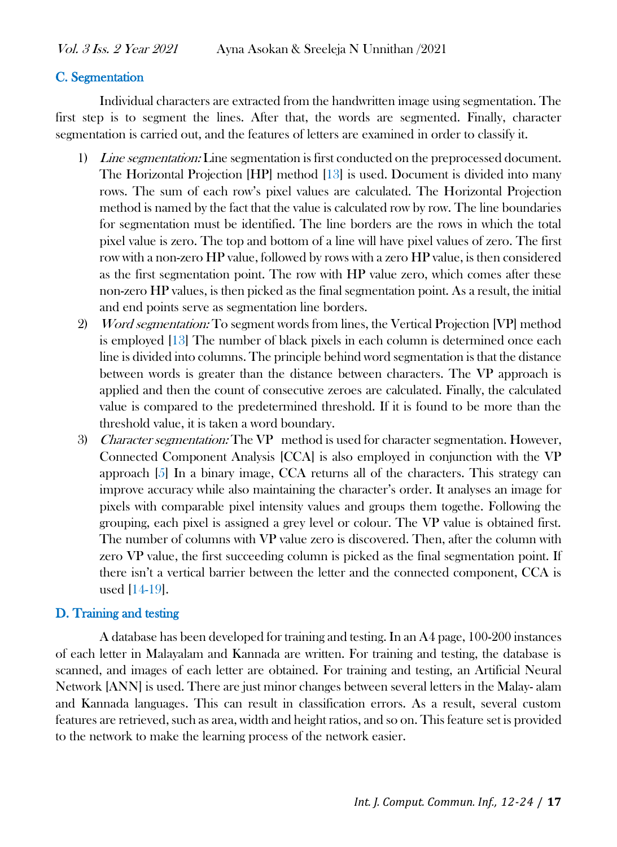#### C. Segmentation

Individual characters are extracted from the handwritten image using segmentation. The first step is to segment the lines. After that, the words are segmented. Finally, character segmentation is carried out, and the features of letters are examined in order to classify it.

- 1) Line segmentation: Line segmentation is first conducted on the preprocessed document. The Horizontal Projection [HP] method [13] is used. Document is divided into many rows. The sum of each row's pixel values are calculated. The Horizontal Projection method is named by the fact that the value is calculated row by row. The line boundaries for segmentation must be identified. The line borders are the rows in which the total pixel value is zero. The top and bottom of a line will have pixel values of zero. The first row with a non-zero HP value, followed by rows with a zero HP value, is then considered as the first segmentation point. The row with HP value zero, which comes after these non-zero HP values, is then picked as the final segmentation point. As a result, the initial and end points serve as segmentation line borders.
- 2) Word segmentation: To segment words from lines, the Vertical Projection [VP] method is employed [13] The number of black pixels in each column is determined once each line is divided into columns. The principle behind word segmentation is that the distance between words is greater than the distance between characters. The VP approach is applied and then the count of consecutive zeroes are calculated. Finally, the calculated value is compared to the predetermined threshold. If it is found to be more than the threshold value, it is taken a word boundary.
- 3) Character segmentation: The VP method is used for character segmentation. However, Connected Component Analysis [CCA] is also employed in conjunction with the VP approach [5] In a binary image, CCA returns all of the characters. This strategy can improve accuracy while also maintaining the character's order. It analyses an image for pixels with comparable pixel intensity values and groups them togethe. Following the grouping, each pixel is assigned a grey level or colour. The VP value is obtained first. The number of columns with VP value zero is discovered. Then, after the column with zero VP value, the first succeeding column is picked as the final segmentation point. If there isn't a vertical barrier between the letter and the connected component, CCA is used [14-19].

## D. Training and testing

A database has been developed for training and testing. In an A4 page, 100-200 instances of each letter in Malayalam and Kannada are written. For training and testing, the database is scanned, and images of each letter are obtained. For training and testing, an Artificial Neural Network [ANN] is used. There are just minor changes between several letters in the Malay- alam and Kannada languages. This can result in classification errors. As a result, several custom features are retrieved, such as area, width and height ratios, and so on. This feature set is provided to the network to make the learning process of the network easier.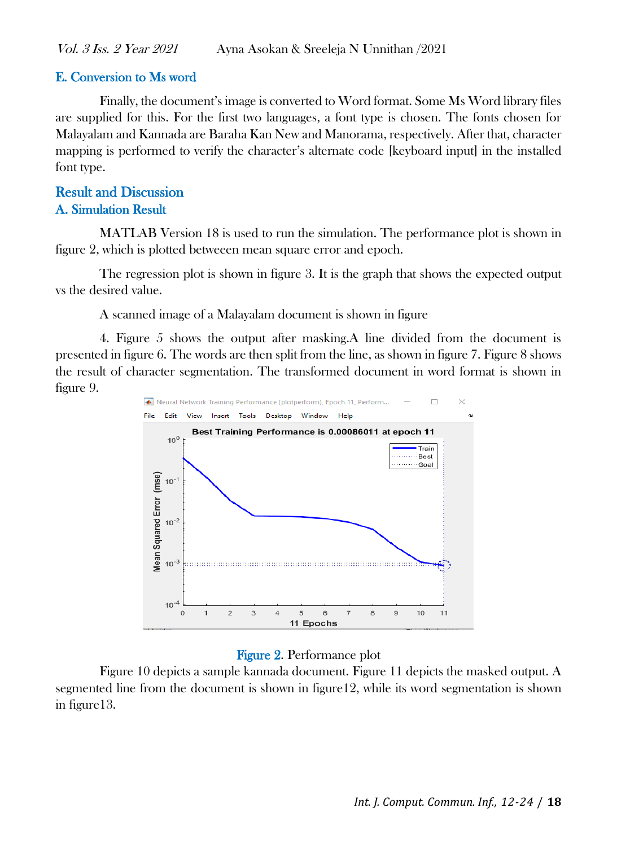## E. Conversion to Ms word

Finally, the document's image is converted to Word format. Some Ms Word library files are supplied for this. For the first two languages, a font type is chosen. The fonts chosen for Malayalam and Kannada are Baraha Kan New and Manorama, respectively. After that, character mapping is performed to verify the character's alternate code [keyboard input] in the installed font type.

## Result and Discussion A. Simulation Result

MATLAB Version 18 is used to run the simulation. The performance plot is shown in figure 2, which is plotted betweeen mean square error and epoch.

The regression plot is shown in figure 3. It is the graph that shows the expected output vs the desired value.

A scanned image of a Malayalam document is shown in figure

4. Figure 5 shows the output after masking.A line divided from the document is presented in figure 6. The words are then split from the line, as shown in figure 7. Figure 8 shows the result of character segmentation. The transformed document in word format is shown in figure 9.



#### Figure 2. Performance plot

Figure 10 depicts a sample kannada document. Figure 11 depicts the masked output. A segmented line from the document is shown in figure12, while its word segmentation is shown in figure13.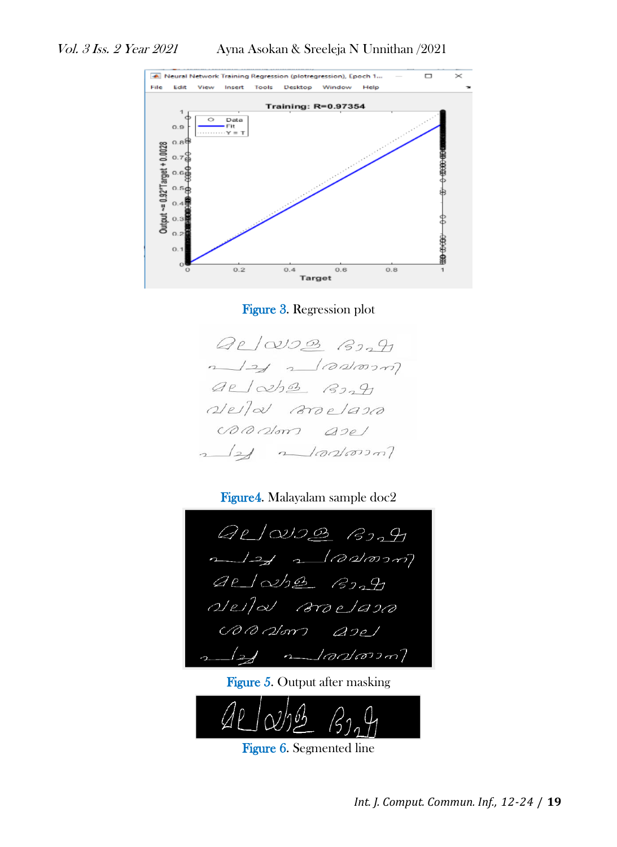

Figure 3. Regression plot



Figure4. Malayalam sample doc2



Figure 5. Output after masking



Figure 6. Segmented line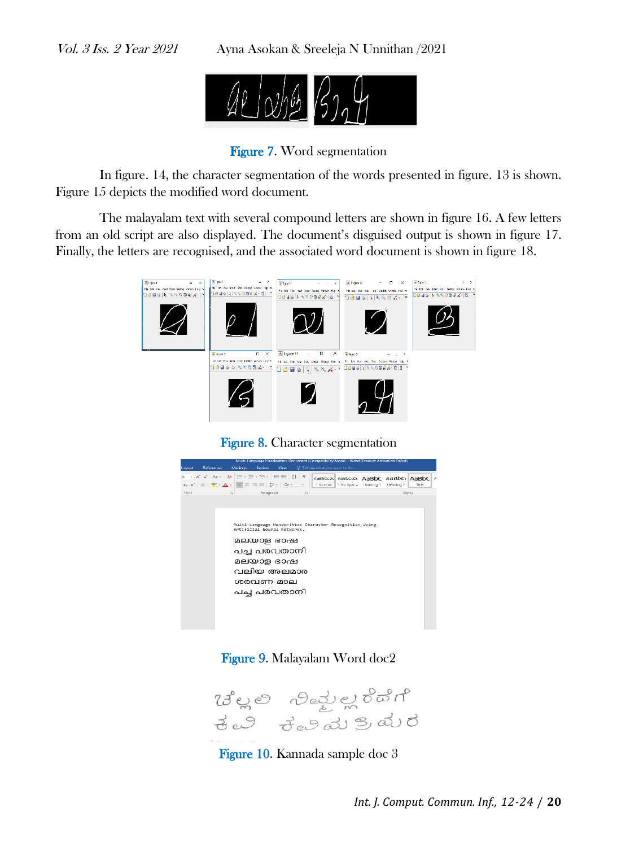Vol. 3 Iss. 2 Year 2021 Ayna Asokan & Sreeleja N Unnithan /2021



Figure 7. Word segmentation

In figure. 14, the character segmentation of the words presented in figure. 13 is shown. Figure 15 depicts the modified word document.

The malayalam text with several compound letters are shown in figure 16. A few letters from an old script are also displayed. The document's disguised output is shown in figure 17. Finally, the letters are recognised, and the associated word document is shown in figure 18.



Figure 8. Character segmentation



Figure 9. Malayalam Word doc2



Figure 10. Kannada sample doc 3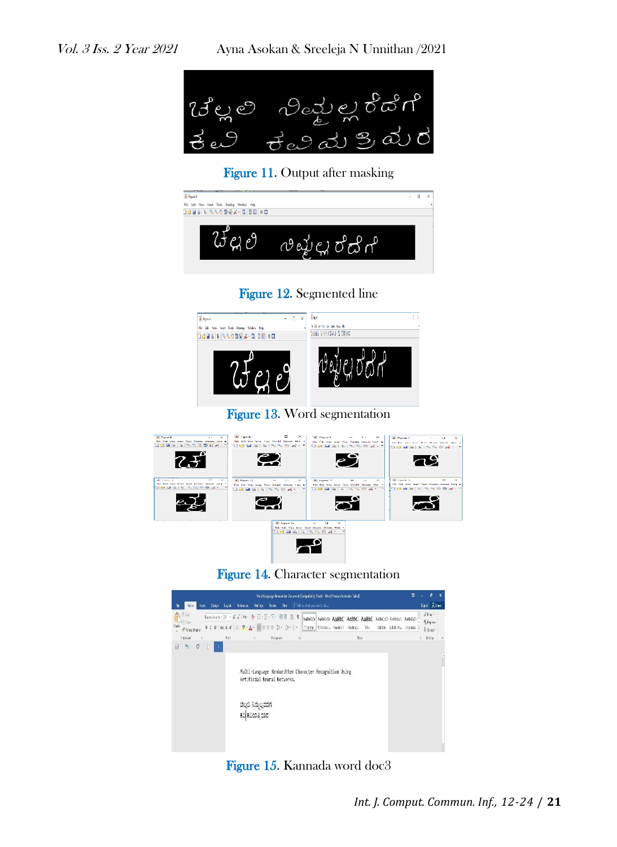

Figure 11. Output after masking



## Figure 12. Segmented line











## Figure 15. Kannada word doc3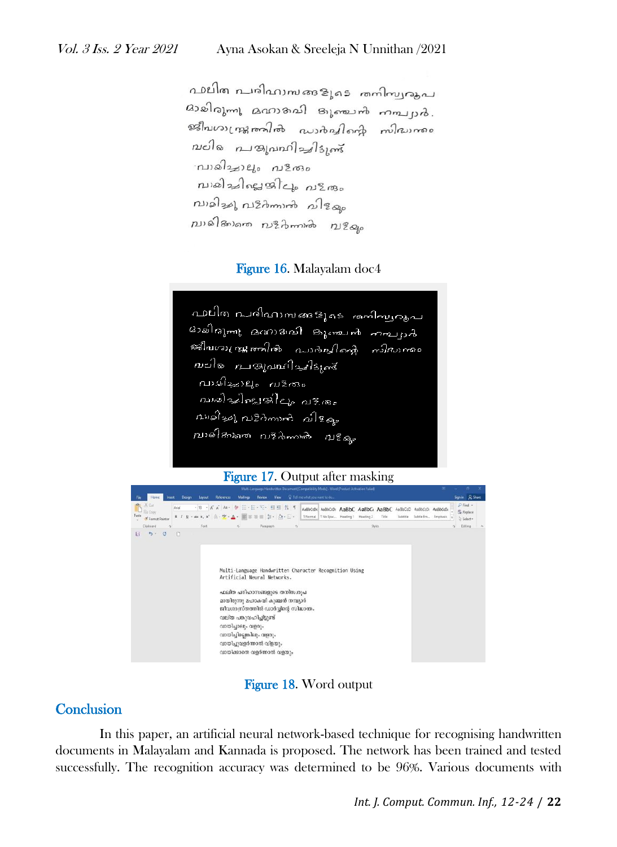പാലിത പരിഹാസങ്ങളുടെ തനിസ്വരുപ മാജിരുന്നു മനാദമി ദുഞ്ചൻ നമ്പ്യർ. หมายเหลือนๆ และทำตู และ ณะใจ การอุณณาในปริมณ์ മ്പരിച്ചാലം പ3തം വാമിച്ചിലുപ്പിലും പുളരും าบามในๆ การิสิทาหรือ การลด  $p$ บาล์ใสงครก การิสิททาลิง การิสเต

#### Figure 16. Malayalam doc4

വലിത പരിഹാഷങളൂടെ - രമ്പിഷ്യരൂപ ദാമിരുഷ്ട മനാദരി കുഞ്ചൻ ചെല്ലാർ മലിനെ മാരുപ്പറിച്ചിട്ടുക് വാഴിച്ചാലം പാളകം വാമിച്ചില്ലയിലും പ3.തും  $n$ uales nizimuri alese ,<br>ബരിക്കണ വള്ക്കാക് വള്ളം

#### Figure 17. Output after masking



Figure 18. Word output

#### **Conclusion**

In this paper, an artificial neural network-based technique for recognising handwritten documents in Malayalam and Kannada is proposed. The network has been trained and tested successfully. The recognition accuracy was determined to be 96%. Various documents with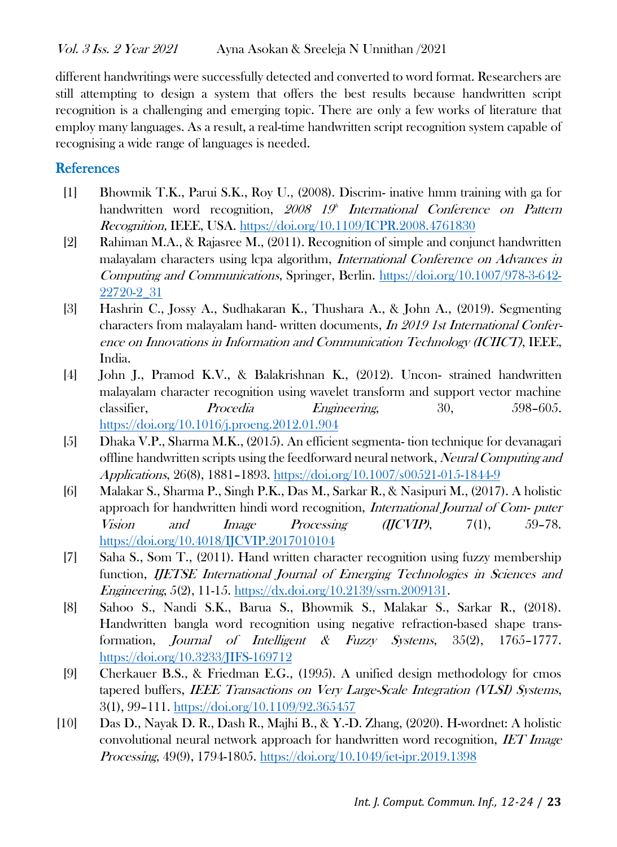different handwritings were successfully detected and converted to word format. Researchers are still attempting to design a system that offers the best results because handwritten script recognition is a challenging and emerging topic. There are only a few works of literature that employ many languages. As a result, a real-time handwritten script recognition system capable of recognising a wide range of languages is needed.

## **References**

- [1] Bhowmik T.K., Parui S.K., Roy U., (2008). Discrim- inative hmm training with ga for handwritten word recognition, 2008 19<sup>th</sup> International Conference on Pattern Recognition, IEEE, USA.<https://doi.org/10.1109/ICPR.2008.4761830>
- [2] Rahiman M.A., & Rajasree M., (2011). Recognition of simple and conjunct handwritten malayalam characters using lcpa algorithm, International Conference on Advances in Computing and Communications, Springer, Berlin. [https://doi.org/10.1007/978-3-642-](https://doi.org/10.1007/978-3-642-22720-2_31) [22720-2\\_31](https://doi.org/10.1007/978-3-642-22720-2_31)
- [3] Hashrin C., Jossy A., Sudhakaran K., Thushara A., & John A., (2019). Segmenting characters from malayalam hand- written documents, In 2019 1st International Conference on Innovations in Information and Communication Technology (ICIICT), IEEE, India.
- [4] John J., Pramod K.V., & Balakrishnan K., (2012). Uncon- strained handwritten malayalam character recognition using wavelet transform and support vector machine classifier, Procedia Engineering, 30, 598–605. <https://doi.org/10.1016/j.proeng.2012.01.904>
- [5] Dhaka V.P., Sharma M.K., (2015). An efficient segmenta- tion technique for devanagari offline handwritten scripts using the feedforward neural network, Neural Computing and Applications, 26(8), 1881–1893.<https://doi.org/10.1007/s00521-015-1844-9>
- [6] Malakar S., Sharma P., Singh P.K., Das M., Sarkar R., & Nasipuri M., (2017). A holistic approach for handwritten hindi word recognition, International Journal of Com- puter Vision and Image Processing (IJCVIP), 7(1), 59–78. <https://doi.org/10.4018/IJCVIP.2017010104>
- [7] Saha S., Som T., (2011). Hand written character recognition using fuzzy membership function, IJETSE International Journal of Emerging Technologies in Sciences and Engineering, 5(2), 11-15. [https://dx.doi.org/10.2139/ssrn.2009131.](https://dx.doi.org/10.2139/ssrn.2009131)
- [8] Sahoo S., Nandi S.K., Barua S., Bhowmik S., Malakar S., Sarkar R., (2018). Handwritten bangla word recognition using negative refraction-based shape transformation, Journal of Intelligent & Fuzzy Systems, 35(2), 1765–1777. <https://doi.org/10.3233/JIFS-169712>
- [9] Cherkauer B.S., & Friedman E.G., (1995). A unified design methodology for cmos tapered buffers, IEEE Transactions on Very Large-Scale Integration (VLSI) Systems, 3(1), 99–111.<https://doi.org/10.1109/92.365457>
- [10] Das D., Nayak D. R., Dash R., Majhi B., & Y.-D. Zhang, (2020). H-wordnet: A holistic convolutional neural network approach for handwritten word recognition, IET Image Processing, 49(9), 1794-1805.<https://doi.org/10.1049/iet-ipr.2019.1398>